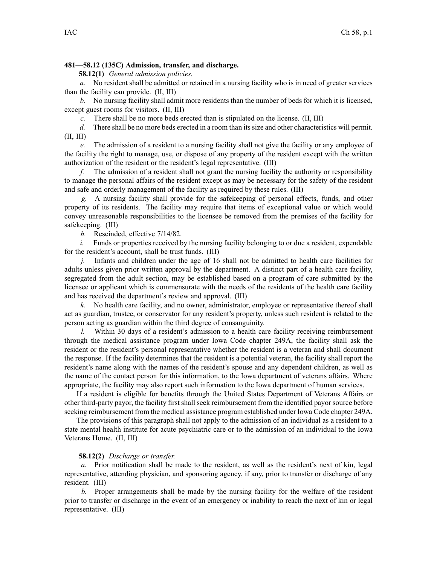## **481—58.12 (135C) Admission, transfer, and discharge.**

**58.12(1)** *General admission policies.*

*a.* No resident shall be admitted or retained in <sup>a</sup> nursing facility who is in need of greater services than the facility can provide. (II, III)

*b.* No nursing facility shall admit more residents than the number of beds for which it is licensed, excep<sup>t</sup> gues<sup>t</sup> rooms for visitors. (II, III)

*c.* There shall be no more beds erected than is stipulated on the license. (II, III)

*d.* There shall be no more beds erected in <sup>a</sup> room than its size and other characteristics will permit. (II, III)

*e.* The admission of <sup>a</sup> resident to <sup>a</sup> nursing facility shall not give the facility or any employee of the facility the right to manage, use, or dispose of any property of the resident excep<sup>t</sup> with the written authorization of the resident or the resident's legal representative. (III)

*f.* The admission of <sup>a</sup> resident shall not gran<sup>t</sup> the nursing facility the authority or responsibility to manage the personal affairs of the resident excep<sup>t</sup> as may be necessary for the safety of the resident and safe and orderly managemen<sup>t</sup> of the facility as required by these rules. (III)

*g.* A nursing facility shall provide for the safekeeping of personal effects, funds, and other property of its residents. The facility may require that items of exceptional value or which would convey unreasonable responsibilities to the licensee be removed from the premises of the facility for safekeeping. (III)

*h.* Rescinded, effective 7/14/82.

*i.* Funds or properties received by the nursing facility belonging to or due a resident, expendable for the resident's account, shall be trust funds. (III)

*j.* Infants and children under the age of 16 shall not be admitted to health care facilities for adults unless given prior written approval by the department. A distinct par<sup>t</sup> of <sup>a</sup> health care facility, segregated from the adult section, may be established based on <sup>a</sup> program of care submitted by the licensee or applicant which is commensurate with the needs of the residents of the health care facility and has received the department's review and approval. (III)

*k.* No health care facility, and no owner, administrator, employee or representative thereof shall act as guardian, trustee, or conservator for any resident's property, unless such resident is related to the person acting as guardian within the third degree of consanguinity.

*l.* Within 30 days of <sup>a</sup> resident's admission to <sup>a</sup> health care facility receiving reimbursement through the medical assistance program under Iowa Code chapter 249A, the facility shall ask the resident or the resident's personal representative whether the resident is <sup>a</sup> veteran and shall document the response. If the facility determines that the resident is <sup>a</sup> potential veteran, the facility shall repor<sup>t</sup> the resident's name along with the names of the resident's spouse and any dependent children, as well as the name of the contact person for this information, to the Iowa department of veterans affairs. Where appropriate, the facility may also repor<sup>t</sup> such information to the Iowa department of human services.

If <sup>a</sup> resident is eligible for benefits through the United States Department of Veterans Affairs or other third-party payor, the facility first shall seek reimbursement from the identified payor source before seeking reimbursement from the medical assistance program established under Iowa Code chapter 249A.

The provisions of this paragraph shall not apply to the admission of an individual as <sup>a</sup> resident to <sup>a</sup> state mental health institute for acute psychiatric care or to the admission of an individual to the Iowa Veterans Home. (II, III)

## **58.12(2)** *Discharge or transfer.*

*a.* Prior notification shall be made to the resident, as well as the resident's next of kin, legal representative, attending physician, and sponsoring agency, if any, prior to transfer or discharge of any resident. (III)

*b.* Proper arrangements shall be made by the nursing facility for the welfare of the resident prior to transfer or discharge in the event of an emergency or inability to reach the next of kin or legal representative. (III)